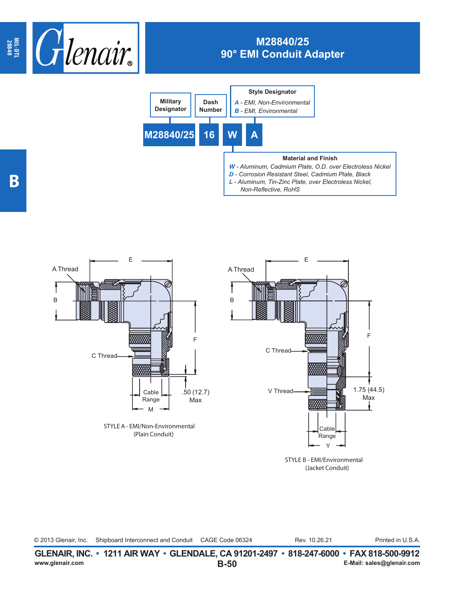

## **M28840/25 90° EMI Conduit Adapter**





STYLE B - EMI/Environmental (Jacket Conduit)

© 2013 Glenair, Inc. Shipboard Interconnect and Conduit CAGE Code 06324 Rev. 10.26.21 Printed in U.S.A. Rev. 10.26.21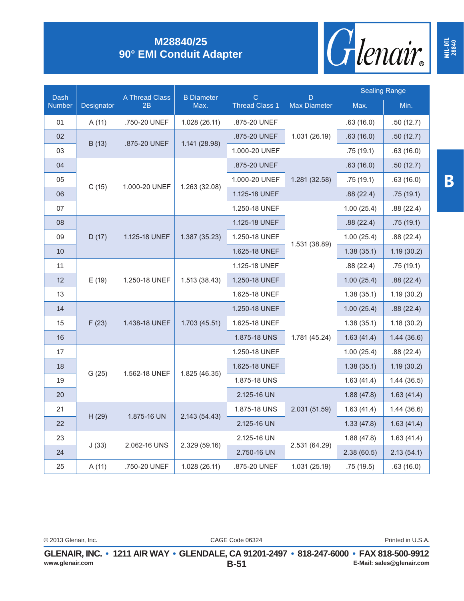

## **M28840/25 90° EMI Conduit Adapter**

| Dash<br><b>Number</b> | Designator | A Thread Class<br>2B | <b>B</b> Diameter<br>Max. | $\mathsf{C}$<br><b>Thread Class 1</b> | D<br><b>Max Diameter</b> | <b>Sealing Range</b> |            |
|-----------------------|------------|----------------------|---------------------------|---------------------------------------|--------------------------|----------------------|------------|
|                       |            |                      |                           |                                       |                          | Max.                 | Min.       |
| 01                    | A (11)     | .750-20 UNEF         | 1.028 (26.11)             | .875-20 UNEF                          | 1.031 (26.19)            | .63(16.0)            | .50(12.7)  |
| 02                    |            | .875-20 UNEF         | 1.141 (28.98)             | .875-20 UNEF                          |                          | .63(16.0)            | .50(12.7)  |
| 03                    | B (13)     |                      |                           | 1.000-20 UNEF                         |                          | .75(19.1)            | .63(16.0)  |
| 04                    | C(15)      | 1.000-20 UNEF        | 1.263 (32.08)             | .875-20 UNEF                          | 1.281 (32.58)            | .63(16.0)            | .50(12.7)  |
| 05                    |            |                      |                           | 1.000-20 UNEF                         |                          | .75(19.1)            | .63(16.0)  |
| 06                    |            |                      |                           | 1.125-18 UNEF                         |                          | .88(22.4)            | .75(19.1)  |
| 07                    |            |                      |                           | 1.250-18 UNEF                         | 1.531 (38.89)            | 1.00(25.4)           | .88(22.4)  |
| 08                    | D(17)      | 1.125-18 UNEF        | 1.387 (35.23)             | 1.125-18 UNEF                         |                          | .88(22.4)            | .75(19.1)  |
| 09                    |            |                      |                           | 1.250-18 UNEF                         |                          | 1.00(25.4)           | .88(22.4)  |
| 10                    |            |                      |                           | 1.625-18 UNEF                         |                          | 1.38(35.1)           | 1.19(30.2) |
| 11                    | E(19)      | 1.250-18 UNEF        | 1.513(38.43)              | 1.125-18 UNEF                         |                          | .88(22.4)            | .75(19.1)  |
| 12                    |            |                      |                           | 1.250-18 UNEF                         |                          | 1.00(25.4)           | .88(22.4)  |
| 13                    |            |                      |                           | 1.625-18 UNEF                         | 1.781 (45.24)            | 1.38(35.1)           | 1.19(30.2) |
| 14                    | F(23)      | 1.438-18 UNEF        | 1.703(45.51)              | 1.250-18 UNEF                         |                          | 1.00(25.4)           | .88(22.4)  |
| 15                    |            |                      |                           | 1.625-18 UNEF                         |                          | 1.38(35.1)           | 1.18(30.2) |
| 16                    |            |                      |                           | 1.875-18 UNS                          |                          | 1.63(41.4)           | 1.44(36.6) |
| 17                    | G(25)      | 1.562-18 UNEF        | 1.825 (46.35)             | 1.250-18 UNEF                         |                          | 1.00(25.4)           | .88(22.4)  |
| 18                    |            |                      |                           | 1.625-18 UNEF                         |                          | 1.38(35.1)           | 1.19(30.2) |
| 19                    |            |                      |                           | 1.875-18 UNS                          |                          | 1.63(41.4)           | 1.44(36.5) |
| 20                    |            |                      |                           | 2.125-16 UN                           | 2.031 (51.59)            | 1.88(47.8)           | 1.63(41.4) |
| 21                    | H(29)      | 1.875-16 UN          | 2.143 (54.43)             | 1.875-18 UNS                          |                          | 1.63(41.4)           | 1.44(36.6) |
| 22                    |            |                      |                           | 2.125-16 UN                           |                          | 1.33(47.8)           | 1.63(41.4) |
| 23                    | J(33)      | 2.062-16 UNS         | 2.329 (59.16)             | 2.125-16 UN                           |                          | 1.88(47.8)           | 1.63(41.4) |
| 24                    |            |                      |                           | 2.750-16 UN                           | 2.531 (64.29)            | 2.38(60.5)           | 2.13(54.1) |
| 25                    | A(11)      | .750-20 UNEF         | 1.028 (26.11)             | .875-20 UNEF                          | 1.031 (25.19)            | .75(19.5)            | .63(16.0)  |

**MIL-DTL 28840**

CAGE Code 06324 © 2013 Glenair, Inc. Printed in U.S.A.